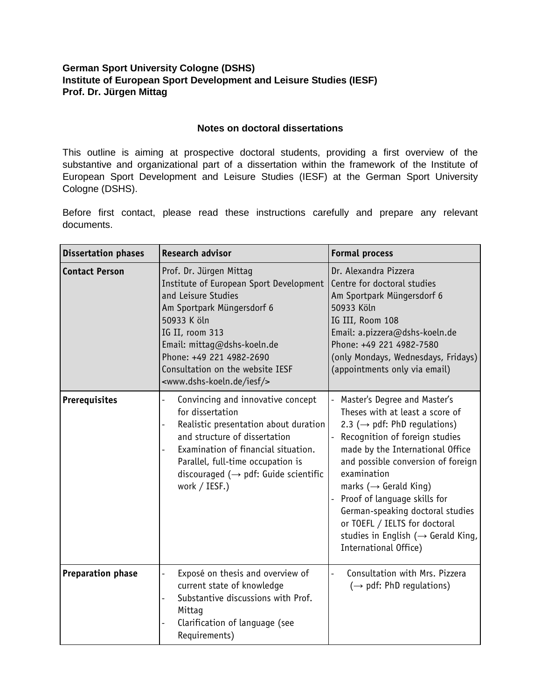## **German Sport University Cologne (DSHS) Institute of European Sport Development and Leisure Studies (IESF) Prof. Dr. Jürgen Mittag**

 $\overline{\phantom{a}}$ 

## **Notes on doctoral dissertations**

This outline is aiming at prospective doctoral students, providing a first overview of the substantive and organizational part of a dissertation within the framework of the Institute of European Sport Development and Leisure Studies (IESF) at the German Sport University Cologne (DSHS).

Before first contact, please read these instructions carefully and prepare any relevant documents.

| <b>Dissertation phases</b> | <b>Research advisor</b>                                                                                                                                                                                                                                                                                                            | <b>Formal process</b>                                                                                                                                                                                                                                                                                                                                                                                                                                          |
|----------------------------|------------------------------------------------------------------------------------------------------------------------------------------------------------------------------------------------------------------------------------------------------------------------------------------------------------------------------------|----------------------------------------------------------------------------------------------------------------------------------------------------------------------------------------------------------------------------------------------------------------------------------------------------------------------------------------------------------------------------------------------------------------------------------------------------------------|
| <b>Contact Person</b>      | Prof. Dr. Jürgen Mittag<br>Institute of European Sport Development<br>and Leisure Studies<br>Am Sportpark Müngersdorf 6<br>50933 K öln<br>IG II, room 313<br>Email: mittag@dshs-koeln.de<br>Phone: +49 221 4982-2690<br>Consultation on the website IESF<br><www.dshs-koeln.de iesf=""></www.dshs-koeln.de>                        | Dr. Alexandra Pizzera<br>Centre for doctoral studies<br>Am Sportpark Müngersdorf 6<br>50933 Köln<br>IG III, Room 108<br>Email: a.pizzera@dshs-koeln.de<br>Phone: +49 221 4982-7580<br>(only Mondays, Wednesdays, Fridays)<br>(appointments only via email)                                                                                                                                                                                                     |
| Prerequisites              | Convincing and innovative concept<br>$\overline{\phantom{0}}$<br>for dissertation<br>Realistic presentation about duration<br>$\qquad \qquad -$<br>and structure of dissertation<br>Examination of financial situation.<br>Parallel, full-time occupation is<br>discouraged ( $\rightarrow$ pdf: Guide scientific<br>work / IESF.) | Master's Degree and Master's<br>Theses with at least a score of<br>2.3 ( $\rightarrow$ pdf: PhD regulations)<br>Recognition of foreign studies<br>made by the International Office<br>and possible conversion of foreign<br>examination<br>marks ( $\rightarrow$ Gerald King)<br>Proof of language skills for<br>German-speaking doctoral studies<br>or TOEFL / IELTS for doctoral<br>studies in English ( $\rightarrow$ Gerald King,<br>International Office) |
| <b>Preparation phase</b>   | Exposé on thesis and overview of<br>$\overline{a}$<br>current state of knowledge<br>Substantive discussions with Prof.<br>$\overline{a}$<br>Mittag<br>Clarification of language (see<br>Requirements)                                                                                                                              | Consultation with Mrs. Pizzera<br>$(\rightarrow$ pdf: PhD regulations)                                                                                                                                                                                                                                                                                                                                                                                         |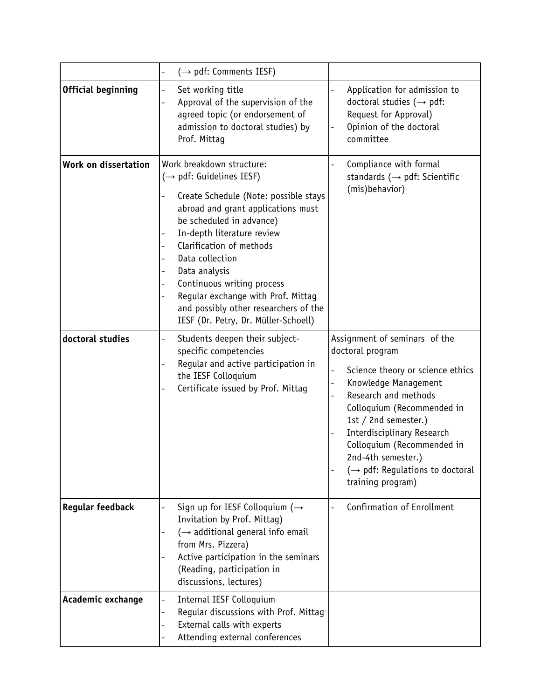|                           | $(\rightarrow$ pdf: Comments IESF)                                                                                                                                                                                                                                                                                                                                                                                                                          |                                                                                                                                                                                                                                                                                                                                                                                          |
|---------------------------|-------------------------------------------------------------------------------------------------------------------------------------------------------------------------------------------------------------------------------------------------------------------------------------------------------------------------------------------------------------------------------------------------------------------------------------------------------------|------------------------------------------------------------------------------------------------------------------------------------------------------------------------------------------------------------------------------------------------------------------------------------------------------------------------------------------------------------------------------------------|
| <b>Official beginning</b> | Set working title<br>$\overline{\phantom{0}}$<br>Approval of the supervision of the<br>$\overline{a}$<br>agreed topic (or endorsement of<br>admission to doctoral studies) by<br>Prof. Mittag                                                                                                                                                                                                                                                               | Application for admission to<br>doctoral studies ( $\rightarrow$ pdf:<br>Request for Approval)<br>Opinion of the doctoral<br>$\qquad \qquad -$<br>committee                                                                                                                                                                                                                              |
| Work on dissertation      | Work breakdown structure:<br>$(\rightarrow$ pdf: Guidelines IESF)<br>Create Schedule (Note: possible stays<br>abroad and grant applications must<br>be scheduled in advance)<br>In-depth literature review<br>$\overline{\phantom{a}}$<br>Clarification of methods<br>Data collection<br>Data analysis<br>Continuous writing process<br>Reqular exchange with Prof. Mittag<br>and possibly other researchers of the<br>IESF (Dr. Petry, Dr. Müller-Schoell) | Compliance with formal<br>standards ( $\rightarrow$ pdf: Scientific<br>(mis)behavior)                                                                                                                                                                                                                                                                                                    |
| doctoral studies          | Students deepen their subject-<br>$\overline{\phantom{0}}$<br>specific competencies<br>Regular and active participation in<br>the IESF Colloquium<br>Certificate issued by Prof. Mittag                                                                                                                                                                                                                                                                     | Assignment of seminars of the<br>doctoral program<br>Science theory or science ethics<br>$\overline{a}$<br>Knowledge Management<br>$\qquad \qquad -$<br>Research and methods<br>Colloquium (Recommended in<br>1st / 2nd semester.)<br>Interdisciplinary Research<br>Colloquium (Recommended in<br>2nd-4th semester.)<br>$(\rightarrow$ pdf: Regulations to doctoral<br>training program) |
| <b>Regular feedback</b>   | Sign up for IESF Colloquium ( $\rightarrow$<br>Invitation by Prof. Mittag)<br>$(\rightarrow$ additional general info email<br>from Mrs. Pizzera)<br>Active participation in the seminars<br>(Reading, participation in<br>discussions, lectures)                                                                                                                                                                                                            | Confirmation of Enrollment                                                                                                                                                                                                                                                                                                                                                               |
| Academic exchange         | Internal IESF Colloquium<br>$\qquad \qquad -$<br>Regular discussions with Prof. Mittag<br>External calls with experts<br>$\overline{\phantom{a}}$<br>Attending external conferences                                                                                                                                                                                                                                                                         |                                                                                                                                                                                                                                                                                                                                                                                          |